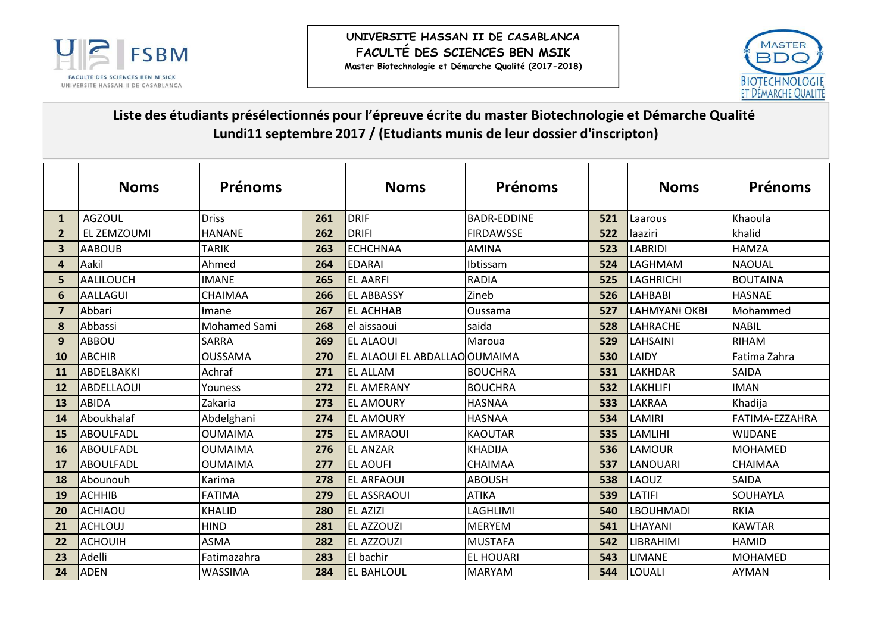



## Liste des étudiants présélectionnés pour l'épreuve écrite du master Biotechnologie et Démarche Qualité Lundi11 septembre 2017 / (Etudiants munis de leur dossier d'inscripton)

|                         | <b>Noms</b>       | <b>Prénoms</b>      |     | <b>Noms</b>                   | <b>Prénoms</b>     |     | <b>Noms</b>          | <b>Prénoms</b>  |
|-------------------------|-------------------|---------------------|-----|-------------------------------|--------------------|-----|----------------------|-----------------|
| $\mathbf{1}$            | <b>AGZOUL</b>     | <b>Driss</b>        | 261 | <b>DRIF</b>                   | <b>BADR-FDDINF</b> | 521 | Laarous              | Khaoula         |
| $\overline{2}$          | EL ZEMZOUMI       | <b>HANANE</b>       | 262 | <b>DRIFI</b>                  | <b>FIRDAWSSE</b>   | 522 | laaziri              | khalid          |
| $\overline{\mathbf{3}}$ | <b>AABOUB</b>     | <b>TARIK</b>        | 263 | <b>ECHCHNAA</b>               | <b>AMINA</b>       | 523 | <b>LABRIDI</b>       | <b>HAMZA</b>    |
| 4                       | Aakil             | Ahmed               | 264 | <b>EDARAI</b>                 | Ibtissam           | 524 | LAGHMAM              | <b>NAOUAL</b>   |
| 5.                      | <b>AALILOUCH</b>  | <b>IMANE</b>        | 265 | <b>EL AARFI</b>               | <b>RADIA</b>       | 525 | <b>LAGHRICHI</b>     | <b>BOUTAINA</b> |
| 6                       | <b>AALLAGUI</b>   | CHAIMAA             | 266 | <b>EL ABBASSY</b>             | Zineb              | 526 | <b>LAHBABI</b>       | <b>HASNAE</b>   |
| $\overline{7}$          | Abbari            | Imane               | 267 | <b>EL ACHHAB</b>              | <b>Oussama</b>     | 527 | <b>LAHMYANI OKBI</b> | Mohammed        |
| 8                       | Abbassi           | <b>Mohamed Sami</b> | 268 | el aissaoui                   | saida              | 528 | LAHRACHE             | <b>NABIL</b>    |
| 9                       | ABBOU             | <b>SARRA</b>        | 269 | <b>EL ALAOUI</b>              | Maroua             | 529 | LAHSAINI             | <b>RIHAM</b>    |
| 10                      | <b>ABCHIR</b>     | <b>OUSSAMA</b>      | 270 | EL ALAOUI EL ABDALLAO OUMAIMA |                    | 530 | LAIDY                | Fatima Zahra    |
| 11                      | ABDELBAKKI        | Achraf              | 271 | <b>EL ALLAM</b>               | <b>BOUCHRA</b>     | 531 | <b>LAKHDAR</b>       | <b>SAIDA</b>    |
| 12                      | <b>ABDELLAOUI</b> | Youness             | 272 | <b>EL AMERANY</b>             | <b>BOUCHRA</b>     | 532 | <b>LAKHLIFI</b>      | <b>IMAN</b>     |
| 13                      | <b>ABIDA</b>      | Zakaria             | 273 | <b>EL AMOURY</b>              | <b>HASNAA</b>      | 533 | LAKRAA               | Khadija         |
| 14                      | Aboukhalaf        | Abdelghani          | 274 | <b>EL AMOURY</b>              | <b>HASNAA</b>      | 534 | <b>LAMIRI</b>        | FATIMA-EZZAHRA  |
| 15                      | <b>ABOULFADL</b>  | <b>OUMAIMA</b>      | 275 | <b>EL AMRAOUI</b>             | <b>KAOUTAR</b>     | 535 | LAMLIHI              | <b>WIJDANE</b>  |
| <b>16</b>               | <b>ABOULFADL</b>  | <b>OUMAIMA</b>      | 276 | <b>EL ANZAR</b>               | <b>KHADIJA</b>     | 536 | LAMOUR               | MOHAMED         |
| 17                      | <b>ABOULFADL</b>  | <b>OUMAIMA</b>      | 277 | <b>EL AOUFI</b>               | <b>CHAIMAA</b>     | 537 | LANOUARI             | <b>CHAIMAA</b>  |
| 18                      | Abounouh          | Karima              | 278 | <b>EL ARFAOUI</b>             | <b>ABOUSH</b>      | 538 | LAOUZ                | SAIDA           |
| 19                      | <b>ACHHIB</b>     | <b>FATIMA</b>       | 279 | <b>EL ASSRAOUI</b>            | <b>ATIKA</b>       | 539 | <b>LATIFI</b>        | <b>SOUHAYLA</b> |
| 20                      | <b>ACHIAOU</b>    | <b>KHALID</b>       | 280 | <b>EL AZIZI</b>               | LAGHLIMI           | 540 | <b>LBOUHMADI</b>     | <b>RKIA</b>     |
| 21                      | ACHLOUJ           | <b>HIND</b>         | 281 | <b>EL AZZOUZI</b>             | <b>MERYEM</b>      | 541 | LHAYANI              | <b>KAWTAR</b>   |
| 22                      | <b>ACHOUIH</b>    | <b>ASMA</b>         | 282 | <b>EL AZZOUZI</b>             | <b>MUSTAFA</b>     | 542 | LIBRAHIMI            | <b>HAMID</b>    |
| 23                      | Adelli            | Fatimazahra         | 283 | El bachir                     | <b>EL HOUARI</b>   | 543 | <b>LIMANE</b>        | MOHAMED         |
| 24                      | <b>ADEN</b>       | WASSIMA             | 284 | <b>EL BAHLOUL</b>             | <b>MARYAM</b>      | 544 | <b>LOUALI</b>        | <b>AYMAN</b>    |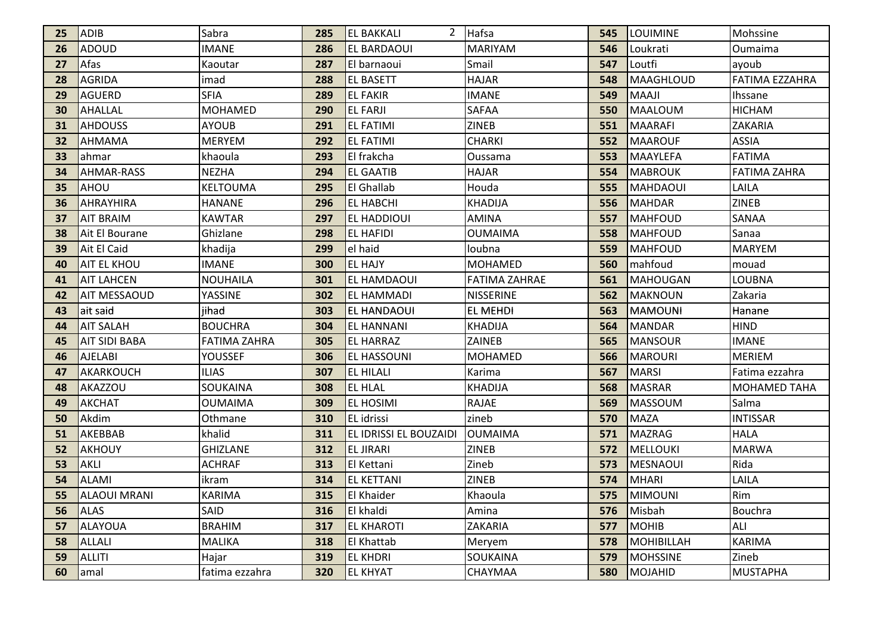| 25 | <b>ADIB</b>          | Sabra               | 285 | <b>EL BAKKALI</b>      | 2 Hafsa         | 545 | <b>ILOUIMINE</b> | Mohssine            |
|----|----------------------|---------------------|-----|------------------------|-----------------|-----|------------------|---------------------|
| 26 | ADOUD                | <b>IMANE</b>        | 286 | <b>EL BARDAOUI</b>     | <b>MARIYAM</b>  | 546 | Loukrati         | Oumaima             |
| 27 | Afas                 | Kaoutar             | 287 | El barnaoui            | Smail           | 547 | Loutfi           | ayoub               |
| 28 | <b>AGRIDA</b>        | imad                | 288 | <b>EL BASETT</b>       | <b>HAJAR</b>    | 548 | MAAGHLOUD        | FATIMA EZZAHRA      |
| 29 | <b>AGUERD</b>        | <b>SFIA</b>         | 289 | <b>EL FAKIR</b>        | <b>IMANE</b>    | 549 | <b>MAAJI</b>     | Ihssane             |
| 30 | AHALLAL              | <b>MOHAMED</b>      | 290 | <b>EL FARJI</b>        | <b>SAFAA</b>    | 550 | MAALOUM          | <b>HICHAM</b>       |
| 31 | <b>AHDOUSS</b>       | AYOUB               | 291 | <b>EL FATIMI</b>       | <b>ZINEB</b>    | 551 | MAARAFI          | ZAKARIA             |
| 32 | AHMAMA               | <b>MERYEM</b>       | 292 | <b>EL FATIMI</b>       | <b>CHARKI</b>   | 552 | MAAROUF          | <b>ASSIA</b>        |
| 33 | lahmar               | khaoula             | 293 | El frakcha             | Oussama         | 553 | MAAYLEFA         | <b>FATIMA</b>       |
| 34 | <b>AHMAR-RASS</b>    | <b>NEZHA</b>        | 294 | <b>EL GAATIB</b>       | <b>HAJAR</b>    | 554 | <b>MABROUK</b>   | <b>FATIMA ZAHRA</b> |
| 35 | IAHOU                | KELTOUMA            | 295 | <b>El Ghallab</b>      | Houda           | 555 | IMAHDAOUI        | LAILA               |
| 36 | AHRAYHIRA            | <b>HANANE</b>       | 296 | <b>EL HABCHI</b>       | KHADIJA         | 556 | MAHDAR           | <b>ZINEB</b>        |
| 37 | <b>AIT BRAIM</b>     | <b>KAWTAR</b>       | 297 | <b>EL HADDIOUI</b>     | AMINA           | 557 | MAHFOUD          | SANAA               |
| 38 | Ait El Bourane       | Ghizlane            | 298 | <b>EL HAFIDI</b>       | <b>OUMAIMA</b>  | 558 | MAHFOUD          | Sanaa               |
| 39 | Ait El Caid          | khadija             | 299 | el haid                | loubna          | 559 | MAHFOUD          | <b>MARYEM</b>       |
| 40 | <b>AIT EL KHOU</b>   | <b>IMANE</b>        | 300 | <b>EL HAJY</b>         | <b>MOHAMED</b>  | 560 | mahfoud          | mouad               |
| 41 | <b>AIT LAHCEN</b>    | NOUHAILA            | 301 | EL HAMDAOUI            | FATIMA ZAHRAE   | 561 | <b>MAHOUGAN</b>  | LOUBNA              |
| 42 | <b>AIT MESSAOUD</b>  | YASSINE             | 302 | EL HAMMADI             | NISSERINE       | 562 | <b>MAKNOUN</b>   | Zakaria             |
| 43 | ait said             | jihad               | 303 | <b>EL HANDAOUI</b>     | <b>EL MEHDI</b> | 563 | <b>MAMOUNI</b>   | Hanane              |
| 44 | <b>AIT SALAH</b>     | <b>BOUCHRA</b>      | 304 | <b>EL HANNANI</b>      | <b>KHADIJA</b>  | 564 | <b>MANDAR</b>    | <b>HIND</b>         |
| 45 | <b>AIT SIDI BABA</b> | <b>FATIMA ZAHRA</b> | 305 | <b>EL HARRAZ</b>       | <b>ZAINEB</b>   | 565 | MANSOUR          | <b>IMANE</b>        |
| 46 | <b>AJELABI</b>       | <b>YOUSSEF</b>      | 306 | <b>EL HASSOUNI</b>     | <b>MOHAMED</b>  | 566 | <b>MAROURI</b>   | <b>MERIEM</b>       |
| 47 | AKARKOUCH            | <b>ILIAS</b>        | 307 | <b>EL HILALI</b>       | Karima          | 567 | <b>MARSI</b>     | Fatima ezzahra      |
| 48 | <b>AKAZZOU</b>       | SOUKAINA            | 308 | <b>EL HLAL</b>         | <b>KHADIJA</b>  | 568 | MASRAR           | <b>MOHAMED TAHA</b> |
| 49 | <b>AKCHAT</b>        | OUMAIMA             | 309 | <b>EL HOSIMI</b>       | <b>RAJAE</b>    | 569 | MASSOUM          | Salma               |
| 50 | Akdim                | Othmane             | 310 | IEL idrissi            | zineb           | 570 | MAZA             | <b>INTISSAR</b>     |
| 51 | AKEBBAB              | khalid              | 311 | EL IDRISSI EL BOUZAIDI | <b>OUMAIMA</b>  | 571 | MAZRAG           | <b>HALA</b>         |
| 52 | AKHOUY               | <b>GHIZLANE</b>     | 312 | <b>EL JIRARI</b>       | <b>ZINEB</b>    | 572 | MELLOUKI         | <b>MARWA</b>        |
| 53 | <b>AKLI</b>          | <b>ACHRAF</b>       | 313 | El Kettani             | Zineb           | 573 | MESNAOUI         | Rida                |
| 54 | <b>ALAMI</b>         | ikram               | 314 | <b>EL KETTANI</b>      | <b>ZINEB</b>    | 574 | <b>MHARI</b>     | LAILA               |
| 55 | <b>ALAOUI MRANI</b>  | <b>KARIMA</b>       | 315 | <b>El Khaider</b>      | Khaoula         | 575 | <b>MIMOUNI</b>   | Rim                 |
| 56 | <b>ALAS</b>          | SAID                | 316 | El khaldi              | Amina           | 576 | Misbah           | Bouchra             |
| 57 | <b>ALAYOUA</b>       | <b>BRAHIM</b>       | 317 | <b>EL KHAROTI</b>      | ZAKARIA         | 577 | <b>MOHIB</b>     | ALI                 |
| 58 | <b>ALLALI</b>        | <b>MALIKA</b>       | 318 | <b>El Khattab</b>      | Meryem          | 578 | MOHIBILLAH       | <b>KARIMA</b>       |
| 59 | <b>ALLITI</b>        | Hajar               | 319 | <b>EL KHDRI</b>        | <b>SOUKAINA</b> | 579 | MOHSSINE         | Zineb               |
| 60 | lamal                | fatima ezzahra      | 320 | <b>EL KHYAT</b>        | <b>CHAYMAA</b>  | 580 | MOJAHID          | <b>MUSTAPHA</b>     |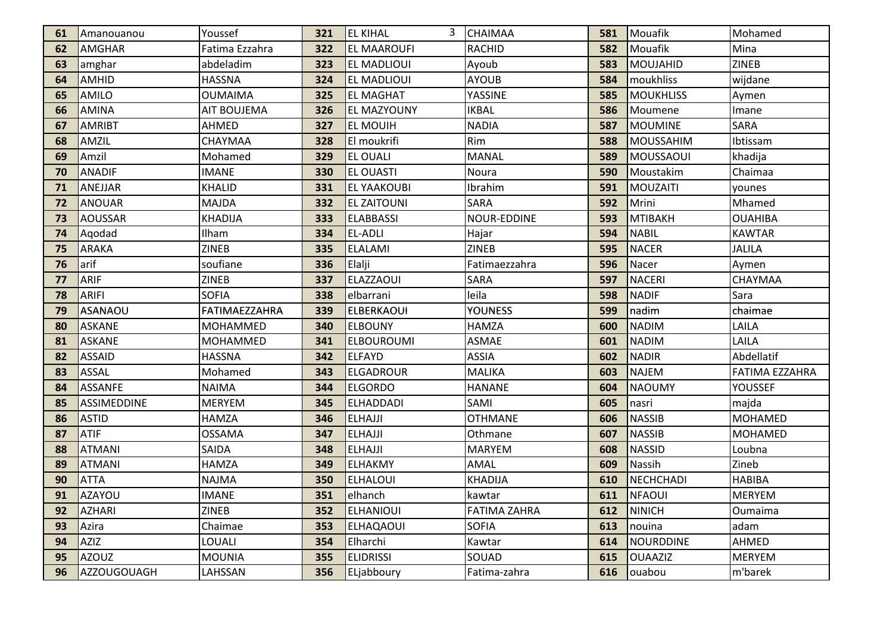| 61 | <b>Amanouanou</b>  | Youssef            | 321 | <b>EL KIHAL</b>    | <b>CHAIMAA</b>      | 581 | Mouafik        | Mohamed               |
|----|--------------------|--------------------|-----|--------------------|---------------------|-----|----------------|-----------------------|
| 62 | <b>AMGHAR</b>      | Fatima Ezzahra     | 322 | <b>EL MAAROUFI</b> | <b>RACHID</b>       | 582 | Mouafik        | Mina                  |
| 63 | amghar             | abdeladim          | 323 | <b>EL MADLIOUI</b> | Ayoub               | 583 | MOUJAHID       | <b>ZINEB</b>          |
| 64 | AMHID              | <b>HASSNA</b>      | 324 | <b>EL MADLIOUI</b> | <b>AYOUB</b>        | 584 | moukhliss      | wijdane               |
| 65 | <b>AMILO</b>       | <b>OUMAIMA</b>     | 325 | <b>EL MAGHAT</b>   | YASSINE             | 585 | MOUKHLISS      | Aymen                 |
| 66 | <b>AMINA</b>       | <b>AIT BOUJEMA</b> | 326 | <b>EL MAZYOUNY</b> | <b>IKBAL</b>        | 586 | Moumene        | Imane                 |
| 67 | <b>AMRIBT</b>      | AHMED              | 327 | <b>EL MOUIH</b>    | <b>NADIA</b>        | 587 | MOUMINE        | SARA                  |
| 68 | AMZIL              | CHAYMAA            | 328 | El moukrifi        | Rim                 | 588 | MOUSSAHIM      | Ibtissam              |
| 69 | Amzil              | Mohamed            | 329 | <b>EL OUALI</b>    | <b>MANAL</b>        | 589 | MOUSSAOUI      | khadija               |
| 70 | <b>ANADIF</b>      | <b>IMANE</b>       | 330 | <b>EL OUASTI</b>   | Noura               | 590 | Moustakim      | Chaimaa               |
| 71 | ANEJJAR            | <b>KHALID</b>      | 331 | <b>EL YAAKOUBI</b> | Ibrahim             | 591 | MOUZAITI       | younes                |
| 72 | ANOUAR             | <b>MAJDA</b>       | 332 | <b>EL ZAITOUNI</b> | <b>SARA</b>         | 592 | Mrini          | Mhamed                |
| 73 | AOUSSAR            | <b>KHADIJA</b>     | 333 | <b>ELABBASSI</b>   | <b>NOUR-EDDINE</b>  | 593 | MTIBAKH        | <b>OUAHIBA</b>        |
| 74 | Aqodad             | Ilham              | 334 | <b>EL-ADLI</b>     | Hajar               | 594 | <b>NABIL</b>   | <b>KAWTAR</b>         |
| 75 | <b>ARAKA</b>       | <b>ZINEB</b>       | 335 | <b>ELALAMI</b>     | <b>ZINEB</b>        | 595 | <b>NACER</b>   | <b>JALILA</b>         |
| 76 | larif              | soufiane           | 336 | Elalji             | Fatimaezzahra       | 596 | Nacer          | Aymen                 |
| 77 | <b>ARIF</b>        | <b>ZINEB</b>       | 337 | <b>ELAZZAOUI</b>   | <b>SARA</b>         | 597 | NACERI         | CHAYMAA               |
| 78 | <b>ARIFI</b>       | <b>SOFIA</b>       | 338 | elbarrani          | leila               | 598 | NADIF          | Sara                  |
| 79 | ASANAOU            | FATIMAEZZAHRA      | 339 | <b>ELBERKAOUI</b>  | <b>YOUNESS</b>      | 599 | nadim          | chaimae               |
| 80 | <b>ASKANE</b>      | <b>MOHAMMED</b>    | 340 | <b>ELBOUNY</b>     | <b>HAMZA</b>        | 600 | <b>NADIM</b>   | LAILA                 |
| 81 | ASKANE             | <b>MOHAMMED</b>    | 341 | <b>ELBOUROUMI</b>  | <b>ASMAE</b>        | 601 | NADIM          | LAILA                 |
| 82 | <b>ASSAID</b>      | <b>HASSNA</b>      | 342 | <b>ELFAYD</b>      | <b>ASSIA</b>        | 602 | <b>NADIR</b>   | Abdellatif            |
| 83 | <b>ASSAL</b>       | Mohamed            | 343 | <b>ELGADROUR</b>   | <b>MALIKA</b>       | 603 | NAJEM          | <b>FATIMA EZZAHRA</b> |
| 84 | <b>ASSANFE</b>     | <b>NAIMA</b>       | 344 | <b>ELGORDO</b>     | <b>HANANE</b>       | 604 | <b>NAOUMY</b>  | YOUSSEF               |
| 85 | <b>ASSIMEDDINE</b> | <b>MERYEM</b>      | 345 | <b>ELHADDADI</b>   | SAMI                | 605 | nasri          | majda                 |
| 86 | <b>ASTID</b>       | HAMZA              | 346 | <b>ELHAJJI</b>     | <b>OTHMANE</b>      | 606 | NASSIB         | <b>MOHAMED</b>        |
| 87 | <b>ATIF</b>        | <b>OSSAMA</b>      | 347 | <b>ELHAJJI</b>     | Othmane             | 607 | <b>NASSIB</b>  | <b>MOHAMED</b>        |
| 88 | <b>ATMANI</b>      | SAIDA              | 348 | <b>ELHAJJI</b>     | MARYEM              | 608 | <b>NASSID</b>  | Loubna                |
| 89 | <b>ATMANI</b>      | <b>HAMZA</b>       | 349 | <b>ELHAKMY</b>     | AMAL                | 609 | Nassih         | Zineb                 |
| 90 | <b>ATTA</b>        | <b>NAJMA</b>       | 350 | <b>ELHALOUI</b>    | <b>KHADIJA</b>      | 610 | NECHCHADI      | <b>HABIBA</b>         |
| 91 | AZAYOU             | <b>IMANE</b>       | 351 | elhanch            | kawtar              | 611 | <b>NFAOUI</b>  | <b>MERYEM</b>         |
| 92 | AZHARI             | <b>ZINEB</b>       | 352 | <b>ELHANIOUI</b>   | <b>FATIMA ZAHRA</b> | 612 | NINICH         | Oumaima               |
| 93 | Azira              | Chaimae            | 353 | <b>ELHAQAOUI</b>   | <b>SOFIA</b>        | 613 | nouina         | adam                  |
| 94 | <b>AZIZ</b>        | LOUALI             | 354 | Elharchi           | Kawtar              | 614 | NOURDDINE      | AHMED                 |
| 95 | <b>AZOUZ</b>       | <b>MOUNIA</b>      | 355 | <b>ELIDRISSI</b>   | SOUAD               | 615 | <b>OUAAZIZ</b> | <b>MERYEM</b>         |
| 96 | AZZOUGOUAGH        | LAHSSAN            | 356 | ELjabboury         | Fatima-zahra        | 616 | louabou        | m'barek               |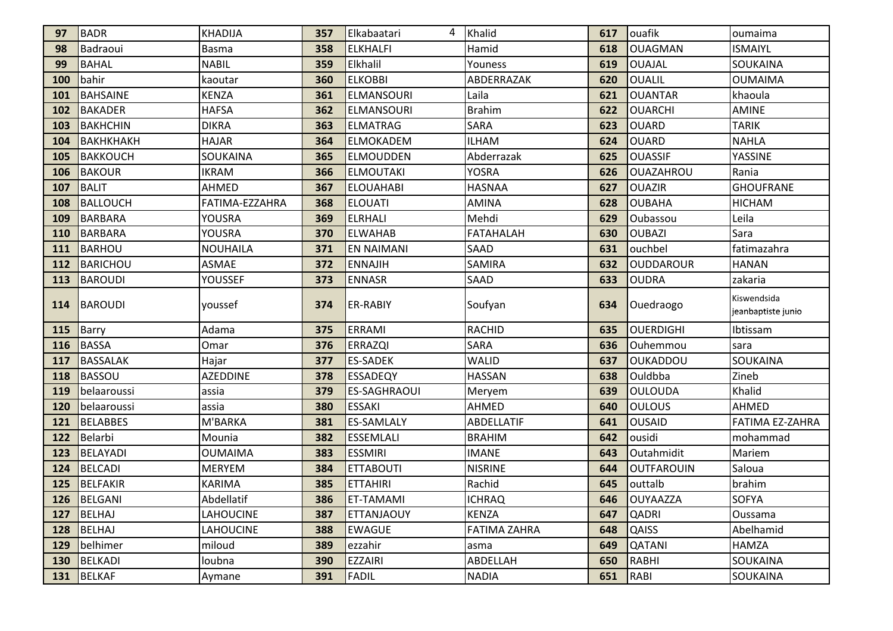| 97         | <b>BADR</b>      | <b>KHADIJA</b>   | 357 | Elkabaatari<br>4    | Khalid              | 617 | louafik           | oumaima                           |
|------------|------------------|------------------|-----|---------------------|---------------------|-----|-------------------|-----------------------------------|
| 98         | Badraoui         | Basma            | 358 | <b>ELKHALFI</b>     | Hamid               | 618 | OUAGMAN           | <b>ISMAIYL</b>                    |
| 99         | <b>BAHAL</b>     | <b>NABIL</b>     | 359 | Elkhalil            | Youness             | 619 | <b>OUAJAL</b>     | SOUKAINA                          |
| 100        | bahir            | kaoutar          | 360 | <b>ELKOBBI</b>      | ABDERRAZAK          | 620 | <b>OUALIL</b>     | <b>OUMAIMA</b>                    |
| 101        | <b>BAHSAINE</b>  | <b>KENZA</b>     | 361 | <b>ELMANSOURI</b>   | Laila               | 621 | <b>OUANTAR</b>    | khaoula                           |
| 102        | <b>BAKADER</b>   | <b>HAFSA</b>     | 362 | <b>ELMANSOURI</b>   | <b>Brahim</b>       | 622 | <b>OUARCHI</b>    | AMINE                             |
| 103        | BAKHCHIN         | <b>DIKRA</b>     | 363 | <b>ELMATRAG</b>     | <b>SARA</b>         | 623 | <b>OUARD</b>      | <b>TARIK</b>                      |
| 104        | <b>ВАКНКНАКН</b> | <b>HAJAR</b>     | 364 | <b>ELMOKADEM</b>    | <b>ILHAM</b>        | 624 | <b>OUARD</b>      | <b>NAHLA</b>                      |
| 105        | <b>BAKKOUCH</b>  | SOUKAINA         | 365 | <b>ELMOUDDEN</b>    | Abderrazak          | 625 | <b>OUASSIF</b>    | YASSINE                           |
| 106        | BAKOUR           | <b>IKRAM</b>     | 366 | <b>ELMOUTAKI</b>    | <b>YOSRA</b>        | 626 | <b>OUAZAHROU</b>  | Rania                             |
| 107        | <b>BALIT</b>     | <b>AHMED</b>     | 367 | <b>ELOUAHABI</b>    | <b>HASNAA</b>       | 627 | <b>OUAZIR</b>     | <b>GHOUFRANE</b>                  |
| 108        | <b>BALLOUCH</b>  | FATIMA-EZZAHRA   | 368 | <b>ELOUATI</b>      | AMINA               | 628 | <b>OUBAHA</b>     | <b>HICHAM</b>                     |
| 109        | BARBARA          | YOUSRA           | 369 | <b>ELRHALI</b>      | Mehdi               | 629 | Oubassou          | Leila                             |
| 110        | <b>BARBARA</b>   | YOUSRA           | 370 | <b>ELWAHAB</b>      | <b>FATAHALAH</b>    | 630 | <b>OUBAZI</b>     | Sara                              |
| 111        | <b>BARHOU</b>    | <b>NOUHAILA</b>  | 371 | <b>EN NAIMANI</b>   | SAAD                | 631 | ouchbel           | fatimazahra                       |
| 112        | <b>BARICHOU</b>  | <b>ASMAE</b>     | 372 | <b>ENNAJIH</b>      | <b>SAMIRA</b>       | 632 | <b>OUDDAROUR</b>  | <b>HANAN</b>                      |
| <b>113</b> | BAROUDI          | YOUSSEF          | 373 | <b>ENNASR</b>       | <b>SAAD</b>         | 633 | <b>OUDRA</b>      | zakaria                           |
| 114        | BAROUDI          | youssef          | 374 | <b>ER-RABIY</b>     | Soufyan             | 634 | Ouedraogo         | Kiswendsida<br>jeanbaptiste junio |
| 115        | Barry            | Adama            | 375 | <b>ERRAMI</b>       | <b>RACHID</b>       | 635 | <b>OUERDIGHI</b>  | Ibtissam                          |
| 116        | BASSA            | Omar             | 376 | <b>ERRAZQI</b>      | <b>SARA</b>         | 636 | Ouhemmou          | sara                              |
| 117        | BASSALAK         | Hajar            | 377 | <b>ES-SADEK</b>     | <b>WALID</b>        | 637 | <b>OUKADDOU</b>   | <b>SOUKAINA</b>                   |
| 118        | <b>BASSOU</b>    | <b>AZEDDINE</b>  | 378 | <b>ESSADEQY</b>     | <b>HASSAN</b>       | 638 | Ouldbba           | Zineb                             |
| 119        | belaaroussi      | assia            | 379 | <b>ES-SAGHRAOUI</b> | Meryem              | 639 | <b>OULOUDA</b>    | Khalid                            |
| 120        | belaaroussi      | assia            | 380 | <b>ESSAKI</b>       | AHMED               | 640 | <b>OULOUS</b>     | <b>AHMED</b>                      |
| 121        | <b>BELABBES</b>  | M'BARKA          | 381 | <b>ES-SAMLALY</b>   | ABDELLATIF          | 641 | <b>OUSAID</b>     | FATIMA EZ-ZAHRA                   |
| 122        | Belarbi          | Mounia           | 382 | <b>ESSEMLALI</b>    | <b>BRAHIM</b>       | 642 | ousidi            | mohammad                          |
| 123        | <b>BELAYADI</b>  | <b>OUMAIMA</b>   | 383 | <b>ESSMIRI</b>      | <b>IMANE</b>        | 643 | Outahmidit        | Mariem                            |
| 124        | <b>BELCADI</b>   | <b>MERYEM</b>    | 384 | <b>ETTABOUTI</b>    | <b>NISRINE</b>      | 644 | <b>OUTFAROUIN</b> | Saloua                            |
| 125        | BELFAKIR         | <b>KARIMA</b>    | 385 | <b>ETTAHIRI</b>     | Rachid              | 645 | outtalb           | brahim                            |
|            | 126 BELGANI      | Abdellatif       | 386 | <b>ET-TAMAMI</b>    | <b>ICHRAQ</b>       | 646 | <b>OUYAAZZA</b>   | <b>SOFYA</b>                      |
|            | 127 BELHAJ       | <b>LAHOUCINE</b> | 387 | <b>ETTANJAOUY</b>   | <b>KENZA</b>        | 647 | <b>QADRI</b>      | <b>Oussama</b>                    |
|            | 128 BELHAJ       | <b>LAHOUCINE</b> | 388 | <b>EWAGUE</b>       | <b>FATIMA ZAHRA</b> | 648 | <b>QAISS</b>      | Abelhamid                         |
| 129        | belhimer         | miloud           | 389 | ezzahir             | asma                | 649 | <b>QATANI</b>     | <b>HAMZA</b>                      |
|            | 130 BELKADI      | loubna           | 390 | <b>EZZAIRI</b>      | ABDELLAH            | 650 | RABHI             | SOUKAINA                          |
|            | 131 BELKAF       | Aymane           | 391 | FADIL               | <b>NADIA</b>        | 651 | RABI              | <b>SOUKAINA</b>                   |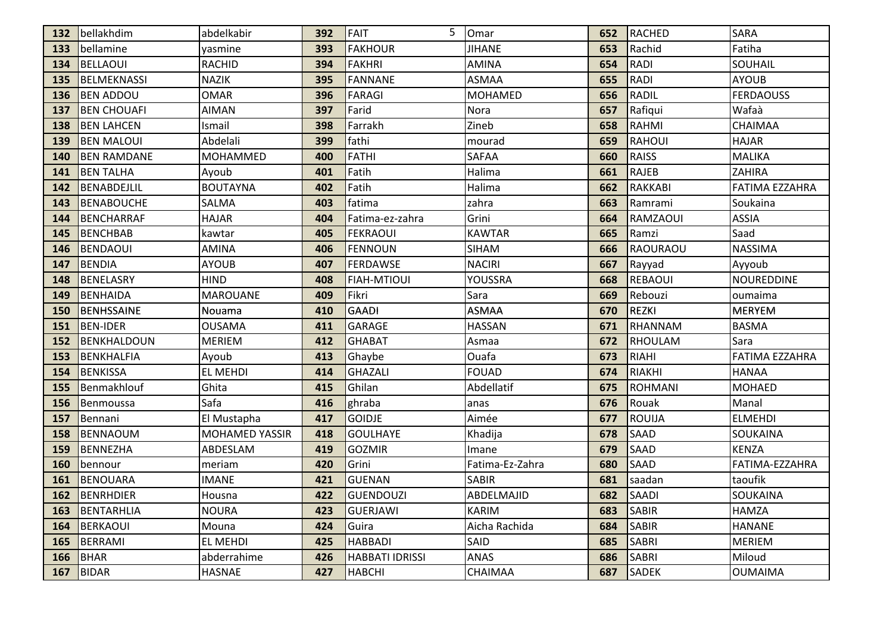| 132        | bellakhdim         | abdelkabir            | 392 | 5<br><b>FAIT</b>       | Omar            | 652 | RACHED          | SARA                  |
|------------|--------------------|-----------------------|-----|------------------------|-----------------|-----|-----------------|-----------------------|
| 133        | bellamine          | yasmine               | 393 | <b>FAKHOUR</b>         | <b>JIHANE</b>   | 653 | Rachid          | Fatiha                |
| 134        | <b>BELLAOUI</b>    | <b>RACHID</b>         | 394 | <b>FAKHRI</b>          | AMINA           | 654 | <b>RADI</b>     | SOUHAIL               |
| 135        | BELMEKNASSI        | <b>NAZIK</b>          | 395 | <b>FANNANE</b>         | <b>ASMAA</b>    | 655 | <b>RADI</b>     | <b>AYOUB</b>          |
| 136        | <b>BEN ADDOU</b>   | <b>OMAR</b>           | 396 | <b>FARAGI</b>          | <b>MOHAMED</b>  | 656 | <b>RADIL</b>    | <b>FERDAOUSS</b>      |
| 137        | <b>BEN CHOUAFI</b> | <b>AIMAN</b>          | 397 | Farid                  | Nora            | 657 | Rafiqui         | Wafaà                 |
| 138        | <b>BEN LAHCEN</b>  | Ismail                | 398 | Farrakh                | Zineb           | 658 | RAHMI           | CHAIMAA               |
| 139        | <b>BEN MALOUI</b>  | Abdelali              | 399 | fathi                  | mourad          | 659 | RAHOUI          | <b>HAJAR</b>          |
| 140        | <b>BEN RAMDANE</b> | <b>MOHAMMED</b>       | 400 | <b>FATHI</b>           | <b>SAFAA</b>    | 660 | <b>RAISS</b>    | <b>MALIKA</b>         |
| 141        | <b>BEN TALHA</b>   | Ayoub                 | 401 | Fatih                  | Halima          | 661 | <b>RAJEB</b>    | ZAHIRA                |
| 142        | BENABDEJLIL        | <b>BOUTAYNA</b>       | 402 | Fatih                  | Halima          | 662 | <b>RAKKABI</b>  | <b>FATIMA EZZAHRA</b> |
| 143        | BENABOUCHE         | SALMA                 | 403 | fatima                 | zahra           | 663 | Ramrami         | Soukaina              |
| 144        | BENCHARRAF         | <b>HAJAR</b>          | 404 | Fatima-ez-zahra        | Grini           | 664 | <b>RAMZAOUI</b> | <b>ASSIA</b>          |
| 145        | BENCHBAB           | kawtar                | 405 | <b>FEKRAOUI</b>        | <b>KAWTAR</b>   | 665 | Ramzi           | Saad                  |
| 146        | <b>BENDAOUI</b>    | <b>AMINA</b>          | 406 | <b>FENNOUN</b>         | <b>SIHAM</b>    | 666 | RAOURAOU        | <b>NASSIMA</b>        |
| 147        | <b>BENDIA</b>      | <b>AYOUB</b>          | 407 | <b>FERDAWSE</b>        | <b>NACIRI</b>   | 667 | Rayyad          | Ayyoub                |
| 148        | BENELASRY          | <b>HIND</b>           | 408 | <b>FIAH-MTIOUI</b>     | YOUSSRA         | 668 | REBAOUI         | <b>NOUREDDINE</b>     |
| 149        | <b>BENHAIDA</b>    | <b>MAROUANE</b>       | 409 | Fikri                  | Sara            | 669 | Rebouzi         | oumaima               |
| 150        | BENHSSAINE         | Nouama                | 410 | <b>GAADI</b>           | <b>ASMAA</b>    | 670 | REZKI           | <b>MERYEM</b>         |
| <b>151</b> | <b>BEN-IDER</b>    | <b>OUSAMA</b>         | 411 | <b>GARAGE</b>          | <b>HASSAN</b>   | 671 | RHANNAM         | <b>BASMA</b>          |
| 152        | BENKHALDOUN        | <b>MERIEM</b>         | 412 | <b>GHABAT</b>          | Asmaa           | 672 | RHOULAM         | Sara                  |
| 153        | <b>BENKHALFIA</b>  | Ayoub                 | 413 | Ghaybe                 | Ouafa           | 673 | <b>RIAHI</b>    | <b>FATIMA EZZAHRA</b> |
| 154        | <b>BENKISSA</b>    | <b>EL MEHDI</b>       | 414 | <b>GHAZALI</b>         | <b>FOUAD</b>    | 674 | <b>RIAKHI</b>   | <b>HANAA</b>          |
| 155        | Benmakhlouf        | Ghita                 | 415 | Ghilan                 | Abdellatif      | 675 | ROHMANI         | <b>MOHAED</b>         |
| 156        | Benmoussa          | Safa                  | 416 | ghraba                 | anas            | 676 | Rouak           | Manal                 |
| 157        | Bennani            | El Mustapha           | 417 | <b>GOIDJE</b>          | Aimée           | 677 | ROUIJA          | <b>ELMEHDI</b>        |
| 158        | <b>BENNAOUM</b>    | <b>MOHAMED YASSIR</b> | 418 | <b>GOULHAYE</b>        | Khadija         | 678 | <b>SAAD</b>     | SOUKAINA              |
| 159        | <b>BENNEZHA</b>    | ABDESLAM              | 419 | <b>GOZMIR</b>          | Imane           | 679 | <b>SAAD</b>     | <b>KENZA</b>          |
| 160        | bennour            | meriam                | 420 | Grini                  | Fatima-Ez-Zahra | 680 | <b>SAAD</b>     | FATIMA-EZZAHRA        |
| 161        | BENOUARA           | <b>IMANE</b>          | 421 | <b>GUENAN</b>          | <b>SABIR</b>    | 681 | saadan          | taoufik               |
| 162        | BENRHDIER          | Housna                | 422 | GUENDOUZI              | ABDELMAJID      | 682 | SAADI           | SOUKAINA              |
| <b>163</b> | BENTARHLIA         | <b>NOURA</b>          | 423 | <b>GUERJAWI</b>        | <b>KARIM</b>    | 683 | SABIR           | <b>HAMZA</b>          |
| 164        | BERKAOUI           | Mouna                 | 424 | Guira                  | Aicha Rachida   | 684 | SABIR           | <b>HANANE</b>         |
| 165        | BERRAMI            | EL MEHDI              | 425 | <b>HABBADI</b>         | SAID            | 685 | <b>SABRI</b>    | <b>MERIEM</b>         |
| 166        | BHAR               | abderrahime           | 426 | <b>HABBATI IDRISSI</b> | ANAS            | 686 | <b>SABRI</b>    | Miloud                |
| 167        | BIDAR              | <b>HASNAE</b>         | 427 | <b>HABCHI</b>          | <b>CHAIMAA</b>  | 687 | SADEK           | <b>OUMAIMA</b>        |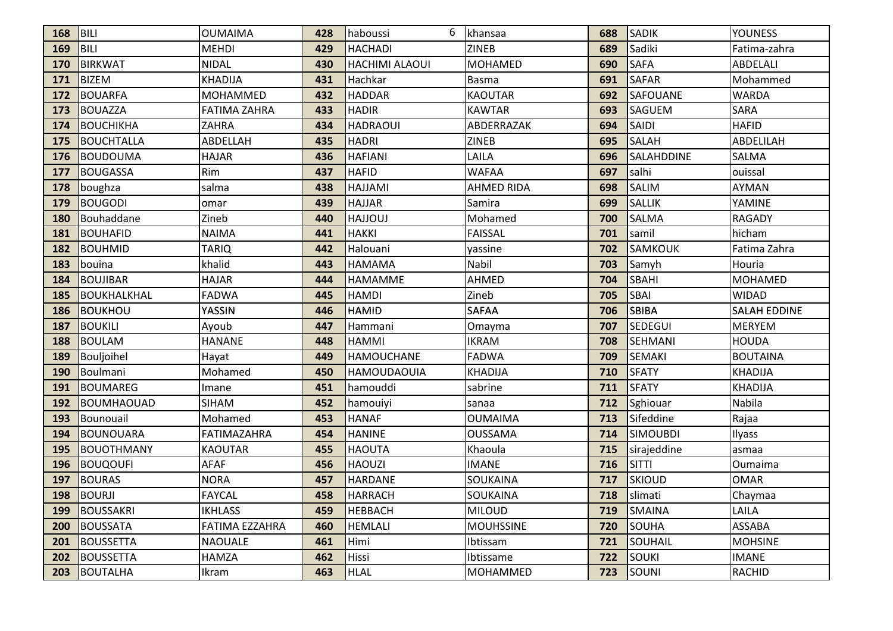| 168 | <b>BILI</b>        | <b>OUMAIMA</b>      | 428 | 6<br>haboussi         | khansaa           | 688 | <b>SADIK</b>    | <b>YOUNESS</b>      |
|-----|--------------------|---------------------|-----|-----------------------|-------------------|-----|-----------------|---------------------|
| 169 | <b>BILI</b>        | <b>MEHDI</b>        | 429 | <b>HACHADI</b>        | <b>ZINEB</b>      | 689 | Sadiki          | Fatima-zahra        |
| 170 | <b>BIRKWAT</b>     | <b>NIDAL</b>        | 430 | <b>HACHIMI ALAOUI</b> | <b>MOHAMED</b>    | 690 | <b>SAFA</b>     | ABDELALI            |
| 171 | <b>BIZEM</b>       | <b>KHADIJA</b>      | 431 | Hachkar               | <b>Basma</b>      | 691 | <b>SAFAR</b>    | Mohammed            |
| 172 | <b>BOUARFA</b>     | <b>MOHAMMED</b>     | 432 | <b>HADDAR</b>         | <b>KAOUTAR</b>    | 692 | <b>SAFOUANE</b> | <b>WARDA</b>        |
| 173 | <b>BOUAZZA</b>     | <b>FATIMA ZAHRA</b> | 433 | <b>HADIR</b>          | <b>KAWTAR</b>     | 693 | SAGUEM          | SARA                |
| 174 | <b>BOUCHIKHA</b>   | ZAHRA               | 434 | <b>HADRAOUI</b>       | ABDERRAZAK        | 694 | <b>SAIDI</b>    | <b>HAFID</b>        |
| 175 | <b>BOUCHTALLA</b>  | ABDELLAH            | 435 | <b>HADRI</b>          | <b>ZINEB</b>      | 695 | <b>SALAH</b>    | ABDELILAH           |
| 176 | <b>BOUDOUMA</b>    | <b>HAJAR</b>        | 436 | <b>HAFIANI</b>        | LAILA             | 696 | SALAHDDINE      | SALMA               |
| 177 | BOUGASSA           | Rim                 | 437 | <b>HAFID</b>          | <b>WAFAA</b>      | 697 | salhi           | ouissal             |
| 178 | boughza            | salma               | 438 | <b>HAJJAMI</b>        | <b>AHMED RIDA</b> | 698 | <b>SALIM</b>    | AYMAN               |
| 179 | <b>BOUGODI</b>     | omar                | 439 | <b>HAJJAR</b>         | Samira            | 699 | <b>SALLIK</b>   | YAMINE              |
| 180 | Bouhaddane         | Zineb               | 440 | <b>HAJJOUJ</b>        | Mohamed           | 700 | <b>SALMA</b>    | <b>RAGADY</b>       |
| 181 | <b>BOUHAFID</b>    | <b>NAIMA</b>        | 441 | <b>HAKKI</b>          | <b>FAISSAL</b>    | 701 | samil           | hicham              |
| 182 | <b>BOUHMID</b>     | <b>TARIQ</b>        | 442 | Halouani              | yassine           | 702 | <b>SAMKOUK</b>  | Fatima Zahra        |
| 183 | bouina             | khalid              | 443 | <b>HAMAMA</b>         | Nabil             | 703 | Samyh           | Houria              |
| 184 | <b>BOUJIBAR</b>    | <b>HAJAR</b>        | 444 | <b>HAMAMME</b>        | AHMED             | 704 | <b>SBAHI</b>    | <b>MOHAMED</b>      |
| 185 | <b>BOUKHALKHAL</b> | <b>FADWA</b>        | 445 | <b>HAMDI</b>          | Zineb             | 705 | SBAI            | <b>WIDAD</b>        |
| 186 | BOUKHOU            | YASSIN              | 446 | <b>HAMID</b>          | <b>SAFAA</b>      | 706 | <b>SBIBA</b>    | <b>SALAH EDDINE</b> |
| 187 | <b>BOUKILI</b>     | Ayoub               | 447 | Hammani               | Omayma            | 707 | <b>SEDEGUI</b>  | <b>MERYEM</b>       |
| 188 | <b>BOULAM</b>      | <b>HANANE</b>       | 448 | <b>HAMMI</b>          | <b>IKRAM</b>      | 708 | <b>SEHMANI</b>  | <b>HOUDA</b>        |
| 189 | Bouljoihel         | Hayat               | 449 | <b>HAMOUCHANE</b>     | <b>FADWA</b>      | 709 | <b>SEMAKI</b>   | <b>BOUTAINA</b>     |
| 190 | Boulmani           | Mohamed             | 450 | <b>HAMOUDAOUIA</b>    | <b>KHADIJA</b>    | 710 | <b>SFATY</b>    | <b>KHADIJA</b>      |
| 191 | <b>BOUMAREG</b>    | Imane               | 451 | hamouddi              | sabrine           | 711 | SFATY           | <b>KHADIJA</b>      |
| 192 | <b>BOUMHAOUAD</b>  | <b>SIHAM</b>        | 452 | hamouiyi              | sanaa             | 712 | Sghiouar        | Nabila              |
| 193 | Bounouail          | Mohamed             | 453 | <b>HANAF</b>          | <b>OUMAIMA</b>    | 713 | Sifeddine       | Rajaa               |
| 194 | <b>BOUNOUARA</b>   | FATIMAZAHRA         | 454 | <b>HANINE</b>         | <b>OUSSAMA</b>    | 714 | <b>SIMOUBDI</b> | Ilyass              |
| 195 | <b>BOUOTHMANY</b>  | <b>KAOUTAR</b>      | 455 | <b>HAOUTA</b>         | Khaoula           | 715 | sirajeddine     | asmaa               |
| 196 | BOUQOUFI           | <b>AFAF</b>         | 456 | <b>HAOUZI</b>         | <b>IMANE</b>      | 716 | SITTI           | Oumaima             |
| 197 | <b>BOURAS</b>      | <b>NORA</b>         | 457 | <b>HARDANE</b>        | <b>SOUKAINA</b>   | 717 | <b>SKIOUD</b>   | <b>OMAR</b>         |
| 198 | BOURJI             | <b>FAYCAL</b>       | 458 | HARRACH               | SOUKAINA          | 718 | slimati         | Chaymaa             |
| 199 | <b>BOUSSAKRI</b>   | <b>IKHLASS</b>      | 459 | <b>HEBBACH</b>        | <b>MILOUD</b>     | 719 | <b>SMAINA</b>   | LAILA               |
| 200 | <b>BOUSSATA</b>    | FATIMA EZZAHRA      | 460 | <b>HEMLALI</b>        | <b>MOUHSSINE</b>  | 720 | SOUHA           | <b>ASSABA</b>       |
| 201 | <b>BOUSSETTA</b>   | <b>NAOUALE</b>      | 461 | Himi                  | Ibtissam          | 721 | <b>SOUHAIL</b>  | <b>MOHSINE</b>      |
| 202 | <b>BOUSSETTA</b>   | <b>HAMZA</b>        | 462 | <b>Hissi</b>          | Ibtissame         | 722 | <b>SOUKI</b>    | <b>IMANE</b>        |
| 203 | BOUTALHA           | Ikram               | 463 | <b>HLAL</b>           | <b>MOHAMMED</b>   | 723 | SOUNI           | <b>RACHID</b>       |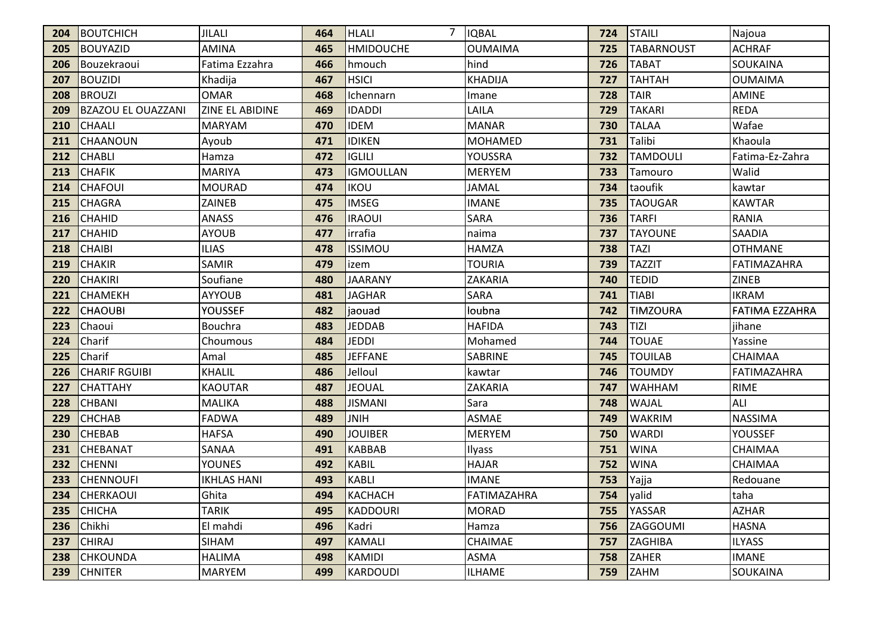| 204 | BOUTCHICH                 | <b>JILALI</b>      | 464 | <b>HLALI</b>     | 7 <b>IQBAL</b> | 724 | STAILI            | Najoua                |
|-----|---------------------------|--------------------|-----|------------------|----------------|-----|-------------------|-----------------------|
| 205 | BOUYAZID                  | <b>AMINA</b>       | 465 | <b>HMIDOUCHE</b> | <b>OUMAIMA</b> | 725 | <b>TABARNOUST</b> | <b>ACHRAF</b>         |
| 206 | Bouzekraoui               | Fatima Ezzahra     | 466 | hmouch           | hind           | 726 | <b>TABAT</b>      | SOUKAINA              |
| 207 | <b>BOUZIDI</b>            | Khadija            | 467 | <b>HSICI</b>     | <b>KHADIJA</b> | 727 | <b>TAHTAH</b>     | <b>OUMAIMA</b>        |
| 208 | <b>BROUZI</b>             | <b>OMAR</b>        | 468 | Ichennarn        | Imane          | 728 | <b>TAIR</b>       | <b>AMINE</b>          |
| 209 | <b>BZAZOU EL OUAZZANI</b> | ZINE EL ABIDINE    | 469 | <b>IDADDI</b>    | LAILA          | 729 | <b>TAKARI</b>     | <b>REDA</b>           |
| 210 | CHAALI                    | <b>MARYAM</b>      | 470 | <b>IDEM</b>      | <b>MANAR</b>   | 730 | <b>TALAA</b>      | Wafae                 |
| 211 | <b>CHAANOUN</b>           | Ayoub              | 471 | <b>IDIKEN</b>    | <b>MOHAMED</b> | 731 | Talibi            | Khaoula               |
| 212 | <b>CHABLI</b>             | Hamza              | 472 | <b>IGLILI</b>    | YOUSSRA        | 732 | <b>TAMDOULI</b>   | Fatima-Ez-Zahra       |
| 213 | <b>CHAFIK</b>             | <b>MARIYA</b>      | 473 | <b>IGMOULLAN</b> | <b>MERYEM</b>  | 733 | Tamouro           | Walid                 |
| 214 | <b>CHAFOUI</b>            | <b>MOURAD</b>      | 474 | <b>IKOU</b>      | <b>JAMAL</b>   | 734 | taoufik           | kawtar                |
| 215 | <b>CHAGRA</b>             | ZAINEB             | 475 | <b>IMSEG</b>     | <b>IMANE</b>   | 735 | <b>TAOUGAR</b>    | <b>KAWTAR</b>         |
| 216 | <b>CHAHID</b>             | <b>ANASS</b>       | 476 | <b>IRAOUI</b>    | SARA           | 736 | <b>TARFI</b>      | RANIA                 |
| 217 | <b>CHAHID</b>             | <b>AYOUB</b>       | 477 | irrafia          | naima          | 737 | <b>TAYOUNE</b>    | SAADIA                |
| 218 | <b>CHAIBI</b>             | <b>ILIAS</b>       | 478 | <b>ISSIMOU</b>   | <b>HAMZA</b>   | 738 | <b>TAZI</b>       | <b>OTHMANE</b>        |
| 219 | <b>CHAKIR</b>             | <b>SAMIR</b>       | 479 | izem             | <b>TOURIA</b>  | 739 | <b>TAZZIT</b>     | FATIMAZAHRA           |
| 220 | <b>CHAKIRI</b>            | Soufiane           | 480 | <b>JAARANY</b>   | <b>ZAKARIA</b> | 740 | <b>TEDID</b>      | <b>ZINEB</b>          |
| 221 | <b>CHAMEKH</b>            | <b>AYYOUB</b>      | 481 | <b>JAGHAR</b>    | <b>SARA</b>    | 741 | <b>TIABI</b>      | <b>IKRAM</b>          |
| 222 | <b>CHAOUBI</b>            | YOUSSEF            | 482 | jaouad           | loubna         | 742 | <b>TIMZOURA</b>   | <b>FATIMA EZZAHRA</b> |
| 223 | Chaoui                    | Bouchra            | 483 | <b>JEDDAB</b>    | <b>HAFIDA</b>  | 743 | TIZI              | jihane                |
| 224 | Charif                    | Choumous           | 484 | <b>JEDDI</b>     | Mohamed        | 744 | <b>TOUAE</b>      | Yassine               |
| 225 | Charif                    | Amal               | 485 | <b>JEFFANE</b>   | <b>SABRINE</b> | 745 | <b>TOUILAB</b>    | CHAIMAA               |
| 226 | <b>CHARIF RGUIBI</b>      | <b>KHALIL</b>      | 486 | Jelloul          | kawtar         | 746 | <b>TOUMDY</b>     | FATIMAZAHRA           |
| 227 | <b>CHATTAHY</b>           | <b>KAOUTAR</b>     | 487 | <b>JEOUAL</b>    | <b>ZAKARIA</b> | 747 | <b>WAHHAM</b>     | <b>RIME</b>           |
| 228 | <b>CHBANI</b>             | <b>MALIKA</b>      | 488 | <b>JISMANI</b>   | Sara           | 748 | <b>WAJAL</b>      | ALI                   |
| 229 | <b>CHCHAB</b>             | <b>FADWA</b>       | 489 | <b>JNIH</b>      | <b>ASMAE</b>   | 749 | <b>WAKRIM</b>     | <b>NASSIMA</b>        |
| 230 | <b>CHEBAB</b>             | <b>HAFSA</b>       | 490 | <b>JOUIBER</b>   | <b>MERYEM</b>  | 750 | <b>WARDI</b>      | <b>YOUSSEF</b>        |
| 231 | <b>CHEBANAT</b>           | SANAA              | 491 | <b>KABBAB</b>    | Ilyass         | 751 | <b>WINA</b>       | CHAIMAA               |
| 232 | <b>CHENNI</b>             | <b>YOUNES</b>      | 492 | <b>KABIL</b>     | <b>HAJAR</b>   | 752 | <b>WINA</b>       | CHAIMAA               |
| 233 | <b>CHENNOUFI</b>          | <b>IKHLAS HANI</b> | 493 | <b>KABLI</b>     | <b>IMANE</b>   | 753 | Yajja             | Redouane              |
|     | 234 CHERKAOUI             | Ghita              | 494 | KACHACH          | FATIMAZAHRA    | 754 | <b>Valid</b>      | taha                  |
| 235 | <b>CHICHA</b>             | <b>TARIK</b>       | 495 | <b>KADDOURI</b>  | <b>MORAD</b>   | 755 | YASSAR            | <b>AZHAR</b>          |
| 236 | Chikhi                    | El mahdi           | 496 | Kadri            | Hamza          | 756 | <b>ZAGGOUMI</b>   | <b>HASNA</b>          |
| 237 | <b>CHIRAJ</b>             | SIHAM              | 497 | <b>KAMALI</b>    | CHAIMAE        | 757 | <b>ZAGHIBA</b>    | <b>ILYASS</b>         |
| 238 | <b>CHKOUNDA</b>           | <b>HALIMA</b>      | 498 | KAMIDI           | ASMA           | 758 | ZAHER             | <b>IMANE</b>          |
|     | 239 CHNITER               | <b>MARYEM</b>      | 499 | <b>KARDOUDI</b>  | <b>ILHAME</b>  | 759 | <b>ZAHM</b>       | SOUKAINA              |